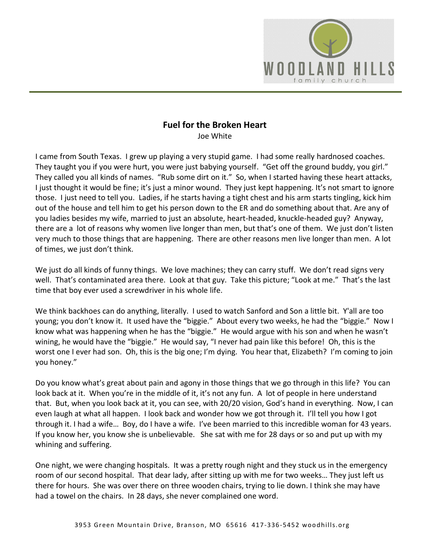

## **Fuel for the Broken Heart**

Joe White

I came from South Texas. I grew up playing a very stupid game. I had some really hardnosed coaches. They taught you if you were hurt, you were just babying yourself. "Get off the ground buddy, you girl." They called you all kinds of names. "Rub some dirt on it." So, when I started having these heart attacks, I just thought it would be fine; it's just a minor wound. They just kept happening. It's not smart to ignore those. I just need to tell you. Ladies, if he starts having a tight chest and his arm starts tingling, kick him out of the house and tell him to get his person down to the ER and do something about that. Are any of you ladies besides my wife, married to just an absolute, heart-headed, knuckle-headed guy? Anyway, there are a lot of reasons why women live longer than men, but that's one of them. We just don't listen very much to those things that are happening. There are other reasons men live longer than men. A lot of times, we just don't think.

We just do all kinds of funny things. We love machines; they can carry stuff. We don't read signs very well. That's contaminated area there. Look at that guy. Take this picture; "Look at me." That's the last time that boy ever used a screwdriver in his whole life.

We think backhoes can do anything, literally. I used to watch Sanford and Son a little bit. Y'all are too young; you don't know it. It used have the "biggie." About every two weeks, he had the "biggie." Now I know what was happening when he has the "biggie." He would argue with his son and when he wasn't wining, he would have the "biggie." He would say, "I never had pain like this before! Oh, this is the worst one I ever had son. Oh, this is the big one; I'm dying. You hear that, Elizabeth? I'm coming to join you honey."

Do you know what's great about pain and agony in those things that we go through in this life? You can look back at it. When you're in the middle of it, it's not any fun. A lot of people in here understand that. But, when you look back at it, you can see, with 20/20 vision, God's hand in everything. Now, I can even laugh at what all happen. I look back and wonder how we got through it. I'll tell you how I got through it. I had a wife… Boy, do I have a wife. I've been married to this incredible woman for 43 years. If you know her, you know she is unbelievable. She sat with me for 28 days or so and put up with my whining and suffering.

One night, we were changing hospitals. It was a pretty rough night and they stuck us in the emergency room of our second hospital. That dear lady, after sitting up with me for two weeks… They just left us there for hours. She was over there on three wooden chairs, trying to lie down. I think she may have had a towel on the chairs. In 28 days, she never complained one word.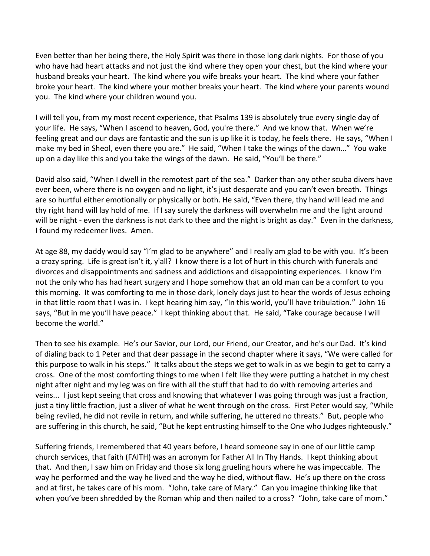Even better than her being there, the Holy Spirit was there in those long dark nights. For those of you who have had heart attacks and not just the kind where they open your chest, but the kind where your husband breaks your heart. The kind where you wife breaks your heart. The kind where your father broke your heart. The kind where your mother breaks your heart. The kind where your parents wound you. The kind where your children wound you.

I will tell you, from my most recent experience, that Psalms 139 is absolutely true every single day of your life. He says, "When I ascend to heaven, God, you're there." And we know that. When we're feeling great and our days are fantastic and the sun is up like it is today, he feels there. He says, "When I make my bed in Sheol, even there you are." He said, "When I take the wings of the dawn…" You wake up on a day like this and you take the wings of the dawn. He said, "You'll be there."

David also said, "When I dwell in the remotest part of the sea." Darker than any other scuba divers have ever been, where there is no oxygen and no light, it's just desperate and you can't even breath. Things are so hurtful either emotionally or physically or both. He said, "Even there, thy hand will lead me and thy right hand will lay hold of me. If I say surely the darkness will overwhelm me and the light around will be night - even the darkness is not dark to thee and the night is bright as day." Even in the darkness, I found my redeemer lives. Amen.

At age 88, my daddy would say "I'm glad to be anywhere" and I really am glad to be with you. It's been a crazy spring. Life is great isn't it, y'all? I know there is a lot of hurt in this church with funerals and divorces and disappointments and sadness and addictions and disappointing experiences. I know I'm not the only who has had heart surgery and I hope somehow that an old man can be a comfort to you this morning. It was comforting to me in those dark, lonely days just to hear the words of Jesus echoing in that little room that I was in. I kept hearing him say, "In this world, you'll have tribulation." John 16 says, "But in me you'll have peace." I kept thinking about that. He said, "Take courage because I will become the world."

Then to see his example. He's our Savior, our Lord, our Friend, our Creator, and he's our Dad. It's kind of dialing back to 1 Peter and that dear passage in the second chapter where it says, "We were called for this purpose to walk in his steps." It talks about the steps we get to walk in as we begin to get to carry a cross. One of the most comforting things to me when I felt like they were putting a hatchet in my chest night after night and my leg was on fire with all the stuff that had to do with removing arteries and veins... I just kept seeing that cross and knowing that whatever I was going through was just a fraction, just a tiny little fraction, just a sliver of what he went through on the cross. First Peter would say, "While being reviled, he did not revile in return, and while suffering, he uttered no threats." But, people who are suffering in this church, he said, "But he kept entrusting himself to the One who Judges righteously."

Suffering friends, I remembered that 40 years before, I heard someone say in one of our little camp church services, that faith (FAITH) was an acronym for Father All In Thy Hands. I kept thinking about that. And then, I saw him on Friday and those six long grueling hours where he was impeccable. The way he performed and the way he lived and the way he died, without flaw. He's up there on the cross and at first, he takes care of his mom. "John, take care of Mary." Can you imagine thinking like that when you've been shredded by the Roman whip and then nailed to a cross? "John, take care of mom."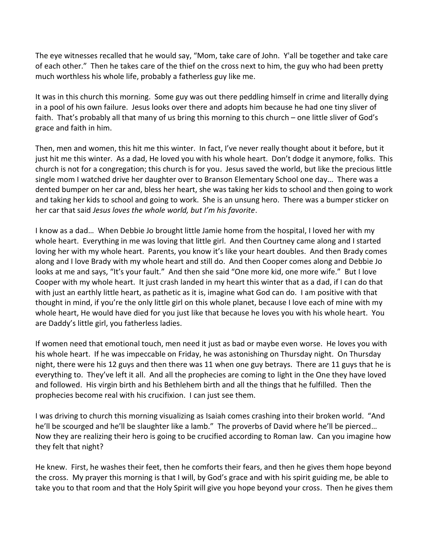The eye witnesses recalled that he would say, "Mom, take care of John. Y'all be together and take care of each other." Then he takes care of the thief on the cross next to him, the guy who had been pretty much worthless his whole life, probably a fatherless guy like me.

It was in this church this morning. Some guy was out there peddling himself in crime and literally dying in a pool of his own failure. Jesus looks over there and adopts him because he had one tiny sliver of faith. That's probably all that many of us bring this morning to this church – one little sliver of God's grace and faith in him.

Then, men and women, this hit me this winter. In fact, I've never really thought about it before, but it just hit me this winter. As a dad, He loved you with his whole heart. Don't dodge it anymore, folks. This church is not for a congregation; this church is for you. Jesus saved the world, but like the precious little single mom I watched drive her daughter over to Branson Elementary School one day… There was a dented bumper on her car and, bless her heart, she was taking her kids to school and then going to work and taking her kids to school and going to work. She is an unsung hero. There was a bumper sticker on her car that said *Jesus loves the whole world, but I'm his favorite*.

I know as a dad… When Debbie Jo brought little Jamie home from the hospital, I loved her with my whole heart. Everything in me was loving that little girl. And then Courtney came along and I started loving her with my whole heart. Parents, you know it's like your heart doubles. And then Brady comes along and I love Brady with my whole heart and still do. And then Cooper comes along and Debbie Jo looks at me and says, "It's your fault." And then she said "One more kid, one more wife." But I love Cooper with my whole heart. It just crash landed in my heart this winter that as a dad, if I can do that with just an earthly little heart, as pathetic as it is, imagine what God can do. I am positive with that thought in mind, if you're the only little girl on this whole planet, because I love each of mine with my whole heart, He would have died for you just like that because he loves you with his whole heart. You are Daddy's little girl, you fatherless ladies.

If women need that emotional touch, men need it just as bad or maybe even worse. He loves you with his whole heart. If he was impeccable on Friday, he was astonishing on Thursday night. On Thursday night, there were his 12 guys and then there was 11 when one guy betrays. There are 11 guys that he is everything to. They've left it all. And all the prophecies are coming to light in the One they have loved and followed. His virgin birth and his Bethlehem birth and all the things that he fulfilled. Then the prophecies become real with his crucifixion. I can just see them.

I was driving to church this morning visualizing as Isaiah comes crashing into their broken world. "And he'll be scourged and he'll be slaughter like a lamb." The proverbs of David where he'll be pierced… Now they are realizing their hero is going to be crucified according to Roman law. Can you imagine how they felt that night?

He knew. First, he washes their feet, then he comforts their fears, and then he gives them hope beyond the cross. My prayer this morning is that I will, by God's grace and with his spirit guiding me, be able to take you to that room and that the Holy Spirit will give you hope beyond your cross. Then he gives them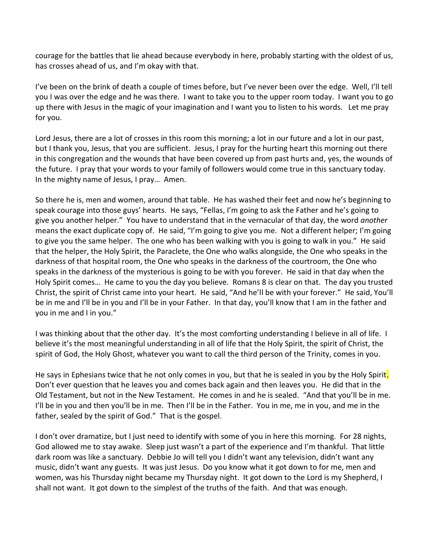courage for the battles that lie ahead because everybody in here, probably starting with the oldest of us, has crosses ahead of us, and I'm okay with that.

I've been on the brink of death a couple of times before, but I've never been over the edge. Well, I'll tell you I was over the edge and he was there. I want to take you to the upper room today. I want you to go up there with Jesus in the magic of your imagination and I want you to listen to his words. Let me pray for you.

Lord Jesus, there are a lot of crosses in this room this morning; a lot in our future and a lot in our past, but I thank you, Jesus, that you are sufficient. Jesus, I pray for the hurting heart this morning out there in this congregation and the wounds that have been covered up from past hurts and, yes, the wounds of the future. I pray that your words to your family of followers would come true in this sanctuary today. In the mighty name of Jesus, I pray… Amen.

So there he is, men and women, around that table. He has washed their feet and now he's beginning to speak courage into those guys' hearts. He says, "Fellas, I'm going to ask the Father and he's going to give you another helper." You have to understand that in the vernacular of that day, the word *another* means the exact duplicate copy of. He said, "I'm going to give you me. Not a different helper; I'm going to give you the same helper. The one who has been walking with you is going to walk in you." He said that the helper, the Holy Spirit, the Paraclete, the One who walks alongside, the One who speaks in the darkness of that hospital room, the One who speaks in the darkness of the courtroom, the One who speaks in the darkness of the mysterious is going to be with you forever. He said in that day when the Holy Spirit comes… He came to you the day you believe. Romans 8 is clear on that. The day you trusted Christ, the spirit of Christ came into your heart. He said, "And he'll be with your forever." He said, You'll be in me and I'll be in you and I'll be in your Father. In that day, you'll know that I am in the father and you in me and I in you."

I was thinking about that the other day. It's the most comforting understanding I believe in all of life. I believe it's the most meaningful understanding in all of life that the Holy Spirit, the spirit of Christ, the spirit of God, the Holy Ghost, whatever you want to call the third person of the Trinity, comes in you.

He says in Ephesians twice that he not only comes in you, but that he is sealed in you by the Holy Spirit. Don't ever question that he leaves you and comes back again and then leaves you. He did that in the Old Testament, but not in the New Testament. He comes in and he is sealed. "And that you'll be in me. I'll be in you and then you'll be in me. Then I'll be in the Father. You in me, me in you, and me in the father, sealed by the spirit of God." That is the gospel.

I don't over dramatize, but I just need to identify with some of you in here this morning. For 28 nights, God allowed me to stay awake. Sleep just wasn't a part of the experience and I'm thankful. That little dark room was like a sanctuary. Debbie Jo will tell you I didn't want any television, didn't want any music, didn't want any guests. It was just Jesus. Do you know what it got down to for me, men and women, was his Thursday night became my Thursday night. It got down to the Lord is my Shepherd, I shall not want. It got down to the simplest of the truths of the faith. And that was enough.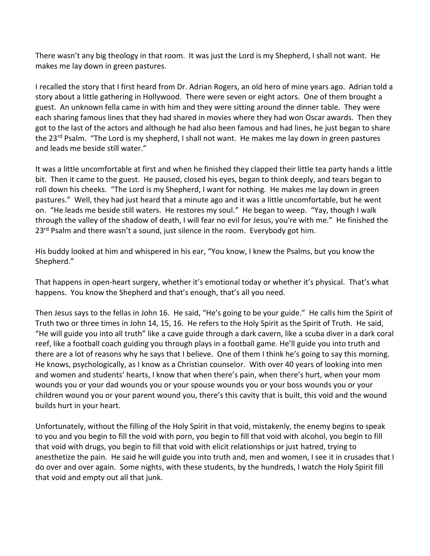There wasn't any big theology in that room. It was just the Lord is my Shepherd, I shall not want. He makes me lay down in green pastures.

I recalled the story that I first heard from Dr. Adrian Rogers, an old hero of mine years ago. Adrian told a story about a little gathering in Hollywood. There were seven or eight actors. One of them brought a guest. An unknown fella came in with him and they were sitting around the dinner table. They were each sharing famous lines that they had shared in movies where they had won Oscar awards. Then they got to the last of the actors and although he had also been famous and had lines, he just began to share the 23<sup>rd</sup> Psalm. "The Lord is my shepherd, I shall not want. He makes me lay down in green pastures and leads me beside still water."

It was a little uncomfortable at first and when he finished they clapped their little tea party hands a little bit. Then it came to the guest. He paused, closed his eyes, began to think deeply, and tears began to roll down his cheeks. "The Lord is my Shepherd, I want for nothing. He makes me lay down in green pastures." Well, they had just heard that a minute ago and it was a little uncomfortable, but he went on. "He leads me beside still waters. He restores my soul." He began to weep. "Yay, though I walk through the valley of the shadow of death, I will fear no evil for Jesus, you're with me." He finished the 23<sup>rd</sup> Psalm and there wasn't a sound, just silence in the room. Everybody got him.

His buddy looked at him and whispered in his ear, "You know, I knew the Psalms, but you know the Shepherd."

That happens in open-heart surgery, whether it's emotional today or whether it's physical. That's what happens. You know the Shepherd and that's enough, that's all you need.

Then Jesus says to the fellas in John 16. He said, "He's going to be your guide." He calls him the Spirit of Truth two or three times in John 14, 15, 16. He refers to the Holy Spirit as the Spirit of Truth. He said, "He will guide you into all truth" like a cave guide through a dark cavern, like a scuba diver in a dark coral reef, like a football coach guiding you through plays in a football game. He'll guide you into truth and there are a lot of reasons why he says that I believe. One of them I think he's going to say this morning. He knows, psychologically, as I know as a Christian counselor. With over 40 years of looking into men and women and students' hearts, I know that when there's pain, when there's hurt, when your mom wounds you or your dad wounds you or your spouse wounds you or your boss wounds you or your children wound you or your parent wound you, there's this cavity that is built, this void and the wound builds hurt in your heart.

Unfortunately, without the filling of the Holy Spirit in that void, mistakenly, the enemy begins to speak to you and you begin to fill the void with porn, you begin to fill that void with alcohol, you begin to fill that void with drugs, you begin to fill that void with elicit relationships or just hatred, trying to anesthetize the pain. He said he will guide you into truth and, men and women, I see it in crusades that I do over and over again. Some nights, with these students, by the hundreds, I watch the Holy Spirit fill that void and empty out all that junk.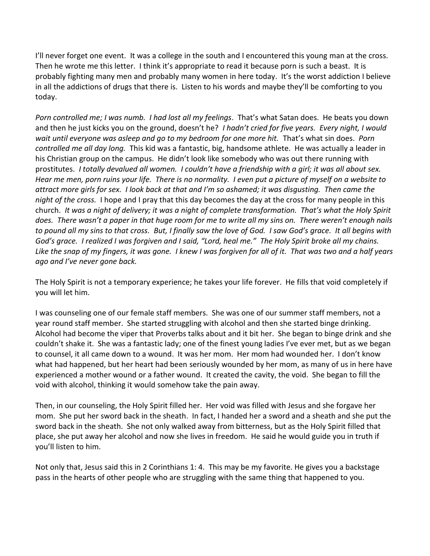I'll never forget one event. It was a college in the south and I encountered this young man at the cross. Then he wrote me this letter. I think it's appropriate to read it because porn is such a beast. It is probably fighting many men and probably many women in here today. It's the worst addiction I believe in all the addictions of drugs that there is. Listen to his words and maybe they'll be comforting to you today.

*Porn controlled me; I was numb. I had lost all my feelings*. That's what Satan does. He beats you down and then he just kicks you on the ground, doesn't he? *I hadn't cried for five years. Every night, I would wait until everyone was asleep and go to my bedroom for one more hit.* That's what sin does. *Porn controlled me all day long.* This kid was a fantastic, big, handsome athlete. He was actually a leader in his Christian group on the campus. He didn't look like somebody who was out there running with prostitutes. *I totally devalued all women. I couldn't have a friendship with a girl; it was all about sex. Hear me men, porn ruins your life. There is no normality. I even put a picture of myself on a website to attract more girls for sex. I look back at that and I'm so ashamed; it was disgusting. Then came the night of the cross.* I hope and I pray that this day becomes the day at the cross for many people in this church. *It was a night of delivery; it was a night of complete transformation. That's what the Holy Spirit does. There wasn't a paper in that huge room for me to write all my sins on. There weren't enough nails to pound all my sins to that cross. But, I finally saw the love of God. I saw God's grace. It all begins with God's grace. I realized I was forgiven and I said, "Lord, heal me." The Holy Spirit broke all my chains. Like the snap of my fingers, it was gone. I knew I was forgiven for all of it. That was two and a half years ago and I've never gone back.*

The Holy Spirit is not a temporary experience; he takes your life forever. He fills that void completely if you will let him.

I was counseling one of our female staff members. She was one of our summer staff members, not a year round staff member. She started struggling with alcohol and then she started binge drinking. Alcohol had become the viper that Proverbs talks about and it bit her. She began to binge drink and she couldn't shake it. She was a fantastic lady; one of the finest young ladies I've ever met, but as we began to counsel, it all came down to a wound. It was her mom. Her mom had wounded her. I don't know what had happened, but her heart had been seriously wounded by her mom, as many of us in here have experienced a mother wound or a father wound. It created the cavity, the void. She began to fill the void with alcohol, thinking it would somehow take the pain away.

Then, in our counseling, the Holy Spirit filled her. Her void was filled with Jesus and she forgave her mom. She put her sword back in the sheath. In fact, I handed her a sword and a sheath and she put the sword back in the sheath. She not only walked away from bitterness, but as the Holy Spirit filled that place, she put away her alcohol and now she lives in freedom. He said he would guide you in truth if you'll listen to him.

Not only that, Jesus said this in 2 Corinthians 1: 4. This may be my favorite. He gives you a backstage pass in the hearts of other people who are struggling with the same thing that happened to you.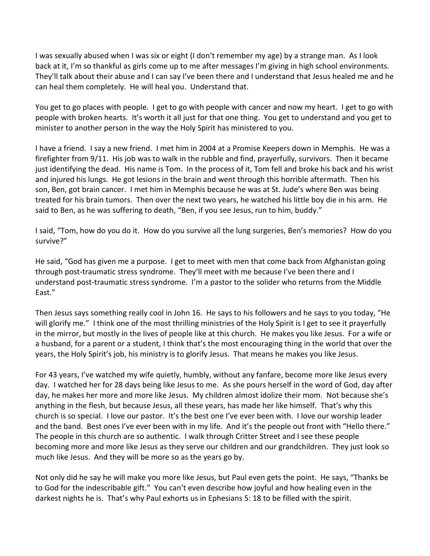I was sexually abused when I was six or eight (I don't remember my age) by a strange man. As I look back at it, I'm so thankful as girls come up to me after messages I'm giving in high school environments. They'll talk about their abuse and I can say I've been there and I understand that Jesus healed me and he can heal them completely. He will heal you. Understand that.

You get to go places with people. I get to go with people with cancer and now my heart. I get to go with people with broken hearts. It's worth it all just for that one thing. You get to understand and you get to minister to another person in the way the Holy Spirit has ministered to you.

I have a friend. I say a new friend. I met him in 2004 at a Promise Keepers down in Memphis. He was a firefighter from 9/11. His job was to walk in the rubble and find, prayerfully, survivors. Then it became just identifying the dead. His name is Tom. In the process of it, Tom fell and broke his back and his wrist and injured his lungs. He got lesions in the brain and went through this horrible aftermath. Then his son, Ben, got brain cancer. I met him in Memphis because he was at St. Jude's where Ben was being treated for his brain tumors. Then over the next two years, he watched his little boy die in his arm. He said to Ben, as he was suffering to death, "Ben, if you see Jesus, run to him, buddy."

I said, "Tom, how do you do it. How do you survive all the lung surgeries, Ben's memories? How do you survive?"

He said, "God has given me a purpose. I get to meet with men that come back from Afghanistan going through post-traumatic stress syndrome. They'll meet with me because I've been there and I understand post-traumatic stress syndrome. I'm a pastor to the solider who returns from the Middle East."

Then Jesus says something really cool in John 16. He says to his followers and he says to you today, "He will glorify me." I think one of the most thrilling ministries of the Holy Spirit is I get to see it prayerfully in the mirror, but mostly in the lives of people like at this church. He makes you like Jesus. For a wife or a husband, for a parent or a student, I think that's the most encouraging thing in the world that over the years, the Holy Spirit's job, his ministry is to glorify Jesus. That means he makes you like Jesus.

For 43 years, I've watched my wife quietly, humbly, without any fanfare, become more like Jesus every day. I watched her for 28 days being like Jesus to me. As she pours herself in the word of God, day after day, he makes her more and more like Jesus. My children almost idolize their mom. Not because she's anything in the flesh, but because Jesus, all these years, has made her like himself. That's why this church is so special. I love our pastor. It's the best one I've ever been with. I love our worship leader and the band. Best ones I've ever been with in my life. And it's the people out front with "Hello there." The people in this church are so authentic. I walk through Critter Street and I see these people becoming more and more like Jesus as they serve our children and our grandchildren. They just look so much like Jesus. And they will be more so as the years go by.

Not only did he say he will make you more like Jesus, but Paul even gets the point. He says, "Thanks be to God for the indescribable gift." You can't even describe how joyful and how healing even in the darkest nights he is. That's why Paul exhorts us in Ephesians 5: 18 to be filled with the spirit.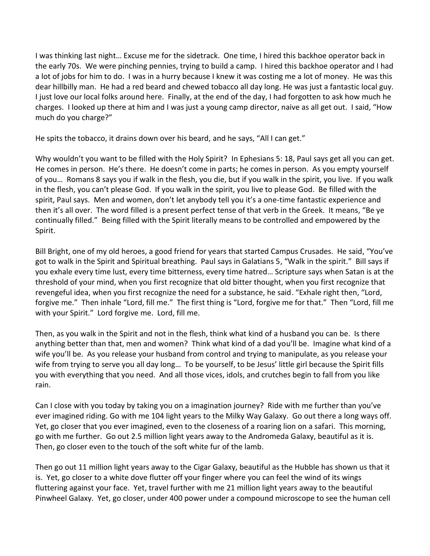I was thinking last night… Excuse me for the sidetrack. One time, I hired this backhoe operator back in the early 70s. We were pinching pennies, trying to build a camp. I hired this backhoe operator and I had a lot of jobs for him to do. I was in a hurry because I knew it was costing me a lot of money. He was this dear hillbilly man. He had a red beard and chewed tobacco all day long. He was just a fantastic local guy. I just love our local folks around here. Finally, at the end of the day, I had forgotten to ask how much he charges. I looked up there at him and I was just a young camp director, naive as all get out. I said, "How much do you charge?"

He spits the tobacco, it drains down over his beard, and he says, "All I can get."

Why wouldn't you want to be filled with the Holy Spirit? In Ephesians 5: 18, Paul says get all you can get. He comes in person. He's there. He doesn't come in parts; he comes in person. As you empty yourself of you… Romans 8 says you if walk in the flesh, you die, but if you walk in the spirit, you live. If you walk in the flesh, you can't please God. If you walk in the spirit, you live to please God. Be filled with the spirit, Paul says. Men and women, don't let anybody tell you it's a one-time fantastic experience and then it's all over. The word filled is a present perfect tense of that verb in the Greek. It means, "Be ye continually filled." Being filled with the Spirit literally means to be controlled and empowered by the Spirit.

Bill Bright, one of my old heroes, a good friend for years that started Campus Crusades. He said, "You've got to walk in the Spirit and Spiritual breathing. Paul says in Galatians 5, "Walk in the spirit." Bill says if you exhale every time lust, every time bitterness, every time hatred… Scripture says when Satan is at the threshold of your mind, when you first recognize that old bitter thought, when you first recognize that revengeful idea, when you first recognize the need for a substance, he said. "Exhale right then, "Lord, forgive me." Then inhale "Lord, fill me." The first thing is "Lord, forgive me for that." Then "Lord, fill me with your Spirit." Lord forgive me. Lord, fill me.

Then, as you walk in the Spirit and not in the flesh, think what kind of a husband you can be. Is there anything better than that, men and women? Think what kind of a dad you'll be. Imagine what kind of a wife you'll be. As you release your husband from control and trying to manipulate, as you release your wife from trying to serve you all day long… To be yourself, to be Jesus' little girl because the Spirit fills you with everything that you need. And all those vices, idols, and crutches begin to fall from you like rain.

Can I close with you today by taking you on a imagination journey? Ride with me further than you've ever imagined riding. Go with me 104 light years to the Milky Way Galaxy. Go out there a long ways off. Yet, go closer that you ever imagined, even to the closeness of a roaring lion on a safari. This morning, go with me further. Go out 2.5 million light years away to the Andromeda Galaxy, beautiful as it is. Then, go closer even to the touch of the soft white fur of the lamb.

Then go out 11 million light years away to the Cigar Galaxy, beautiful as the Hubble has shown us that it is. Yet, go closer to a white dove flutter off your finger where you can feel the wind of its wings fluttering against your face. Yet, travel further with me 21 million light years away to the beautiful Pinwheel Galaxy. Yet, go closer, under 400 power under a compound microscope to see the human cell